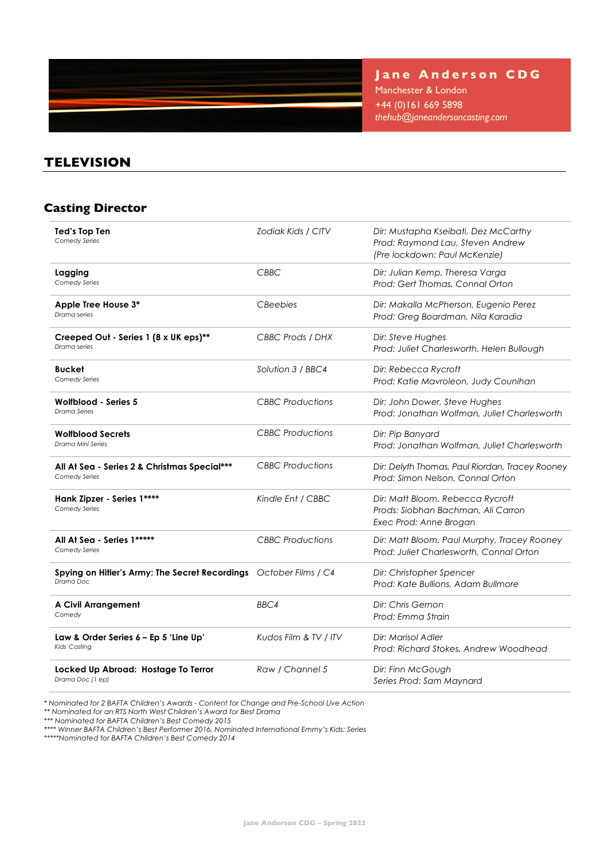

**Jane Anderson CDG**

Manchester & London +44 (0)161 669 5898 *thehub@janeandersoncasting.com*

### **TELEVISION**

## **Casting Director**

| <b>Ted's Top Ten</b><br>Comedy Series                                          | Zodiak Kids / CITV      | Dir: Mustapha Kseibati, Dez McCarthy<br>Prod: Raymond Lau, Steven Andrew<br>(Pre lockdown: Paul McKenzie) |
|--------------------------------------------------------------------------------|-------------------------|-----------------------------------------------------------------------------------------------------------|
| Lagging<br>Comedy Series                                                       | <b>CBBC</b>             | Dir: Julian Kemp, Theresa Varga<br>Prod: Gert Thomas, Connal Orton                                        |
| Apple Tree House 3*<br>Drama series                                            | <b>CBeebies</b>         | Dir: Makalla McPherson, Eugenio Perez<br>Prod: Greg Boardman, Nila Karadia                                |
| Creeped Out - Series 1 (8 x UK eps)**<br>Drama series                          | CBBC Prods / DHX        | Dir: Steve Hughes<br>Prod: Juliet Charlesworth, Helen Bullough                                            |
| <b>Bucket</b><br>Comedy Series                                                 | Solution 3 / BBC4       | Dir: Rebecca Rycroft<br>Prod: Katie Mavroleon, Judy Counihan                                              |
| Wolfblood - Series 5<br><b>Drama Series</b>                                    | <b>CBBC</b> Productions | Dir: John Dower, Steve Hughes<br>Prod: Jonathan Wolfman, Juliet Charlesworth                              |
| <b>Wolfblood Secrets</b><br>Drama Mini Series                                  | <b>CBBC</b> Productions | Dir: Pip Banyard<br>Prod: Jonathan Wolfman, Juliet Charlesworth                                           |
| All At Sea - Series 2 & Christmas Special***<br>Comedy Series                  | <b>CBBC</b> Productions | Dir: Delyth Thomas, Paul Riordan, Tracey Rooney<br>Prod: Simon Nelson, Connal Orton                       |
| Hank Zipzer - Series 1****<br>Comedy Series                                    | Kindle Ent / CBBC       | Dir: Matt Bloom, Rebecca Rycroft<br>Prods: Siobhan Bachman, Ali Carron<br>Exec Prod: Anne Brogan          |
| All At Sea - Series 1*****<br>Comedy Series                                    | <b>CBBC</b> Productions | Dir: Matt Bloom, Paul Murphy, Tracey Rooney<br>Prod: Juliet Charlesworth, Connal Orton                    |
| Spying on Hitler's Army: The Secret Recordings October Films / C4<br>Drama Doc |                         | Dir: Christopher Spencer<br>Prod: Kate Bullions, Adam Bullmore                                            |
| <b>A Civil Arrangement</b><br>Comedy                                           | BBC4                    | Dir: Chris Gernon<br>Prod: Emma Strain                                                                    |
| Law & Order Series 6 - Ep 5 'Line Up'<br>Kids Casting                          | Kudos Film & TV / ITV   | Dir: Marisol Adler<br>Prod: Richard Stokes, Andrew Woodhead                                               |
| Locked Up Abroad: Hostage To Terror<br>Drama Doc (1 ep)                        | Raw / Channel 5         | Dir: Finn McGough<br>Series Prod: Sam Maynard                                                             |

*\* Nominated for 2 BAFTA Children's Awards - Content for Change and Pre-School Live Action*

*\*\* Nominated for an RTS North West Children's Award for Best Drama*

*\*\*\* Nominated for BAFTA Children's Best Comedy 2015* 

*\*\*\*\* Winner BAFTA Children's Best Performer 2016, Nominated International Emmy's Kids: Series*

*\*\*\*\*\*Nominated for BAFTA Children's Best Comedy 2014*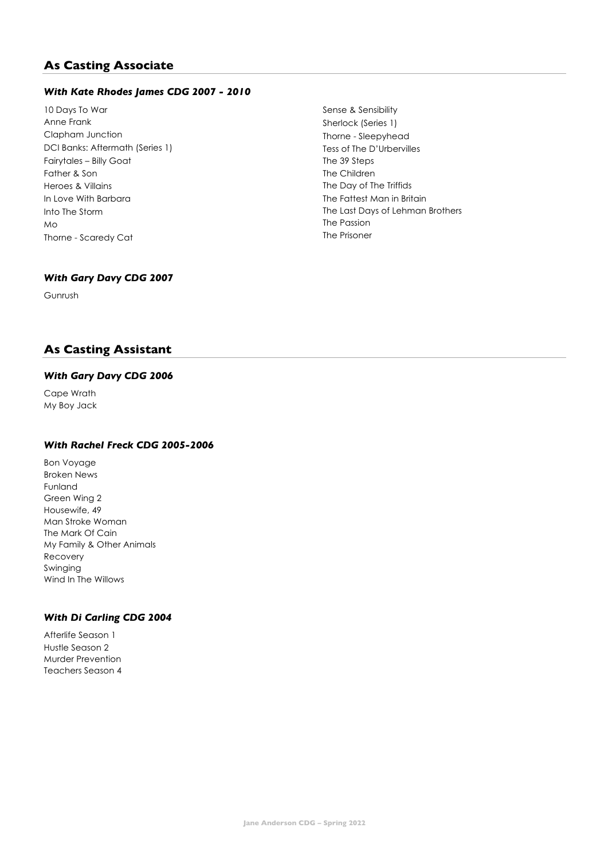### **As Casting Associate**

#### *With Kate Rhodes James CDG 2007 - 2010*

10 Days To War Anne Frank Clapham Junction DCI Banks: Aftermath (Series 1) Fairytales – Billy Goat Father & Son Heroes & Villains In Love With Barbara Into The Storm Mo Thorne - Scaredy Cat

Sense & Sensibility Sherlock (Series 1) Thorne - Sleepyhead Tess of The D'Urbervilles The 39 Steps The Children The Day of The Triffids The Fattest Man in Britain The Last Days of Lehman Brothers The Passion The Prisoner

#### *With Gary Davy CDG 2007*

Gunrush

### **As Casting Assistant**

#### *With Gary Davy CDG 2006*

Cape Wrath My Boy Jack

#### *With Rachel Freck CDG 2005-2006*

Bon Voyage Broken News Funland Green Wing 2 Housewife, 49 Man Stroke Woman The Mark Of Cain My Family & Other Animals Recovery Swinging Wind In The Willows

### *With Di Carling CDG 2004*

Afterlife Season 1 Hustle Season 2 Murder Prevention Teachers Season 4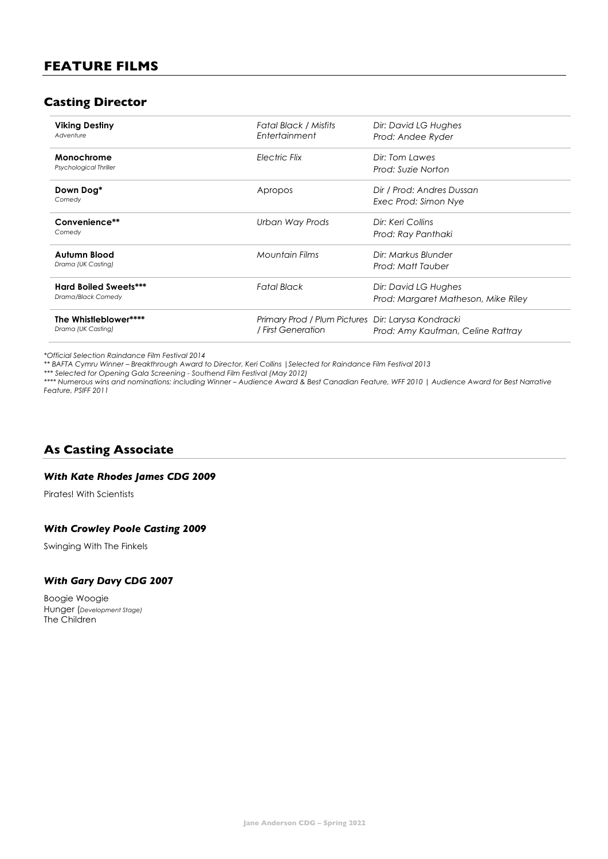### **Casting Director**

| <b>Viking Destiny</b><br>Adventure                 | Fatal Black / Misfits<br>Entertainment                                   | Dir: David LG Hughes<br>Prod: Andee Ryder                   |
|----------------------------------------------------|--------------------------------------------------------------------------|-------------------------------------------------------------|
| Monochrome<br>Psychological Thriller               | Electric Flix                                                            | Dir: Tom Lawes<br>Prod: Suzie Norton                        |
| Down Dog*<br>Comedy                                | Apropos                                                                  | Dir / Prod: Andres Dussan<br>Exec Prod: Simon Nye           |
| Convenience**<br>Comedy                            | Urban Way Prods                                                          | Dir: Keri Collins<br>Prod: Ray Panthaki                     |
| <b>Autumn Blood</b><br>Drama (UK Casting)          | <b>Mountain Films</b>                                                    | Dir: Markus Blunder<br>Prod: Matt Tauber                    |
| <b>Hard Boiled Sweets***</b><br>Drama/Black Comedy | <b>Fatal Black</b>                                                       | Dir: David LG Hughes<br>Prod: Margaret Matheson, Mike Riley |
| The Whistleblower****<br>Drama (UK Casting)        | Primary Prod / Plum Pictures Dir: Larysa Kondracki<br>/ First Generation | Prod: Amy Kaufman, Celine Rattray                           |

*\*Official Selection Raindance Film Festival 2014*

*\*\* BAFTA Cymru Winner – Breakthrough Award to Director, Keri Collins |Selected for Raindance Film Festival 2013*

*\*\*\* Selected for Opening Gala Screening - Southend Film Festival (May 2012)*

*\*\*\*\* Numerous wins and nominations: including Winner – Audience Award & Best Canadian Feature, WFF 2010 | Audience Award for Best Narrative Feature, PSIFF 2011*

### **As Casting Associate**

#### *With Kate Rhodes James CDG 2009*

Pirates! With Scientists

#### *With Crowley Poole Casting 2009*

Swinging With The Finkels

#### *With Gary Davy CDG 2007*

Boogie Woogie Hunger (*Development Stage)* The Children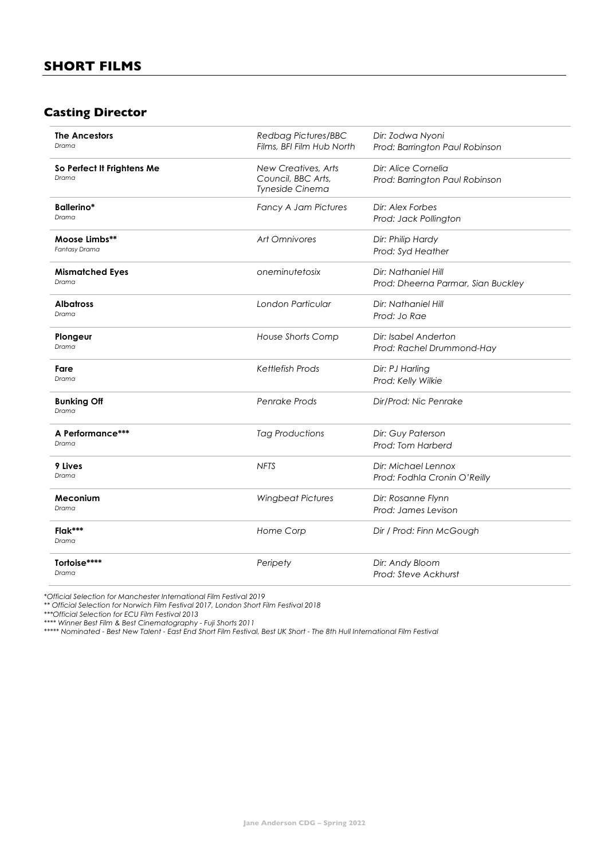### **Casting Director**

| <b>The Ancestors</b><br>Drama       | Redbag Pictures/BBC<br>Films, BFI Film Hub North             | Dir: Zodwa Nyoni<br>Prod: Barrington Paul Robinson        |
|-------------------------------------|--------------------------------------------------------------|-----------------------------------------------------------|
| So Perfect It Frightens Me<br>Drama | New Creatives, Arts<br>Council, BBC Arts,<br>Tyneside Cinema | Dir: Alice Cornelia<br>Prod: Barrington Paul Robinson     |
| Ballerino*<br>Drama                 | <b>Fancy A Jam Pictures</b>                                  | Dir: Alex Forbes<br>Prod: Jack Pollington                 |
| Moose Limbs**<br>Fantasy Drama      | <b>Art Omnivores</b>                                         | Dir: Philip Hardy<br>Prod: Syd Heather                    |
| <b>Mismatched Eyes</b><br>Drama     | oneminutetosix                                               | Dir: Nathaniel Hill<br>Prod: Dheerna Parmar, Sian Buckley |
| <b>Albatross</b><br>Drama           | London Particular                                            | Dir: Nathaniel Hill<br>Prod: Jo Rae                       |
| Plongeur<br>Drama                   | House Shorts Comp                                            | Dir: Isabel Anderton<br>Prod: Rachel Drummond-Hay         |
| Fare<br>Drama                       | <b>Kettlefish Prods</b>                                      | Dir: PJ Harling<br>Prod: Kelly Wilkie                     |
| <b>Bunking Off</b><br>Drama         | Penrake Prods                                                | Dir/Prod: Nic Penrake                                     |
| A Performance***<br>Drama           | <b>Tag Productions</b>                                       | Dir: Guy Paterson<br>Prod: Tom Harberd                    |
| 9 Lives<br>Drama                    | <b>NFTS</b>                                                  | Dir: Michael Lennox<br>Prod: Fodhla Cronin O'Reilly       |
| Meconium<br>Drama                   | <b>Wingbeat Pictures</b>                                     | Dir: Rosanne Flynn<br>Prod: James Levison                 |
| Flak***<br>Drama                    | Home Corp                                                    | Dir / Prod: Finn McGough                                  |
| Tortoise****<br>Drama               | Peripety                                                     | Dir: Andy Bloom<br>Prod: Steve Ackhurst                   |

*\*Official Selection for Manchester International Film Festival 2019*

*\*\* Official Selection for Norwich Film Festival 2017, London Short Film Festival 2018*

*\*\*\*Official Selection for ECU Film Festival 2013*

*\*\*\*\* Winner Best Film & Best Cinematography - Fuji Shorts 2011*

*\*\*\*\*\* Nominated - Best New Talent - East End Short Film Festival, Best UK Short - The 8th Hull International Film Festival*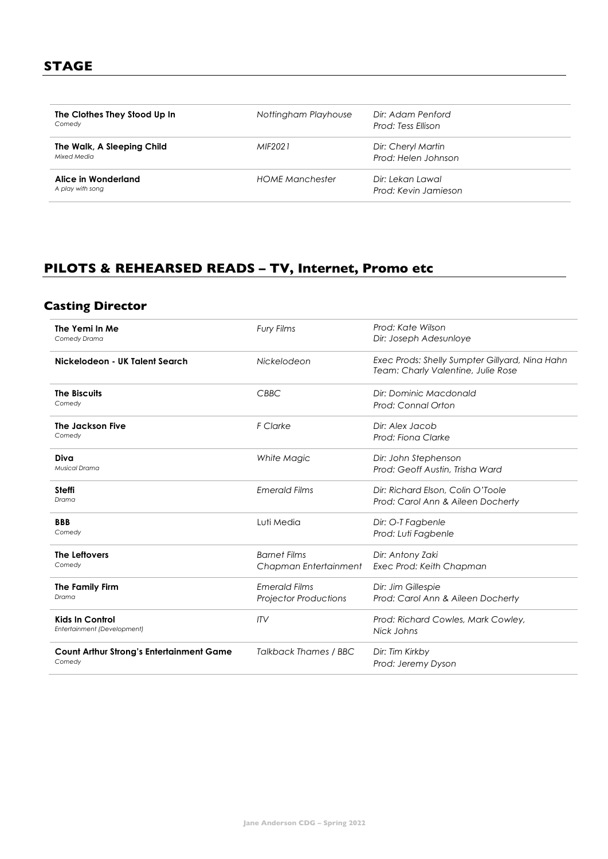| The Clothes They Stood Up In<br>Comedy    | Nottingham Playhouse | Dir: Adam Penford<br>Prod: Tess Ellison   |  |
|-------------------------------------------|----------------------|-------------------------------------------|--|
| The Walk, A Sleeping Child<br>Mixed Media | MIF2021              | Dir: Cheryl Martin<br>Prod: Helen Johnson |  |
| Alice in Wonderland<br>A play with song   | HOME Manchester      | Dir: Lekan Lawal<br>Prod: Kevin Jamieson  |  |

# **PILOTS & REHEARSED READS – TV, Internet, Promo etc**

# **Casting Director**

| The Yemi In Me<br>Comedy Drama                            | Fury Films                                           | Prod: Kate Wilson<br>Dir: Joseph Adesunloye                                          |
|-----------------------------------------------------------|------------------------------------------------------|--------------------------------------------------------------------------------------|
| Nickelodeon - UK Talent Search                            | Nickelodeon                                          | Exec Prods: Shelly Sumpter Gillyard, Nina Hahn<br>Team: Charly Valentine, Julie Rose |
| <b>The Biscuits</b><br>Comedy                             | CBBC                                                 | Dir: Dominic Macdonald<br>Prod: Connal Orton                                         |
| The Jackson Five<br>Comedy                                | F Clarke                                             | Dir: Alex Jacob<br>Prod: Fiona Clarke                                                |
| Diva<br><b>Musical Drama</b>                              | White Magic                                          | Dir: John Stephenson<br>Prod: Geoff Austin, Trisha Ward                              |
| <b>Steffi</b><br>Drama                                    | <b>Emerald Films</b>                                 | Dir: Richard Elson, Colin O'Toole<br>Prod: Carol Ann & Aileen Docherty               |
| <b>BBB</b><br>Comedy                                      | Luti Media                                           | Dir: O-T Fagbenle<br>Prod: Luti Fagbenle                                             |
| The Leftovers<br>Comedy                                   | <b>Barnet Films</b><br>Chapman Entertainment         | Dir: Antony Zaki<br>Exec Prod: Keith Chapman                                         |
| <b>The Family Firm</b><br>Drama                           | <b>Emerald Films</b><br><b>Projector Productions</b> | Dir: Jim Gillespie<br>Prod: Carol Ann & Aileen Docherty                              |
| <b>Kids In Control</b><br>Entertainment (Development)     | ITV                                                  | Prod: Richard Cowles, Mark Cowley,<br>Nick Johns                                     |
| <b>Count Arthur Strong's Entertainment Game</b><br>Comedy | <b>Talkback Thames / BBC</b>                         | Dir: Tim Kirkby<br>Prod: Jeremy Dyson                                                |